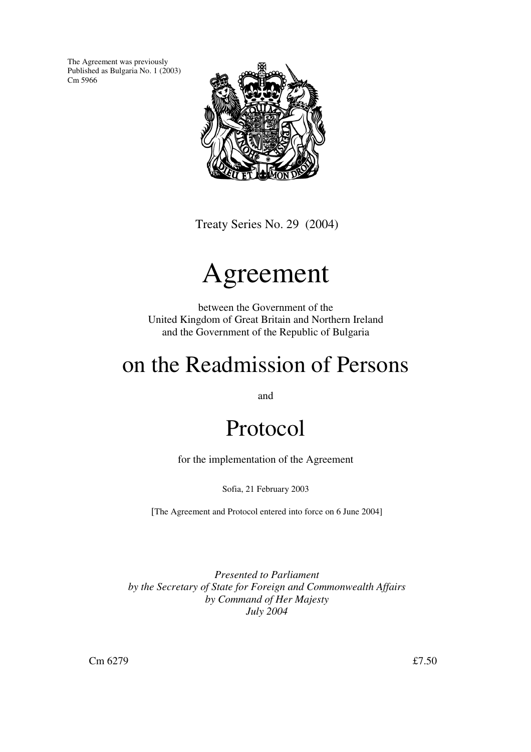The Agreement was previously Published as Bulgaria No. 1 (2003) Cm 5966



Treaty Series No. 29 (2004)

# Agreement

between the Government of the United Kingdom of Great Britain and Northern Ireland and the Government of the Republic of Bulgaria

# on the Readmission of Persons

and

# Protocol

for the implementation of the Agreement

Sofia, 21 February 2003

[The Agreement and Protocol entered into force on 6 June 2004]

*Presented to Parliament by the Secretary of State for Foreign and Commonwealth Affairs by Command of Her Majesty July 2004*

 $\text{Cm } 6279$   $\text{£7.50}$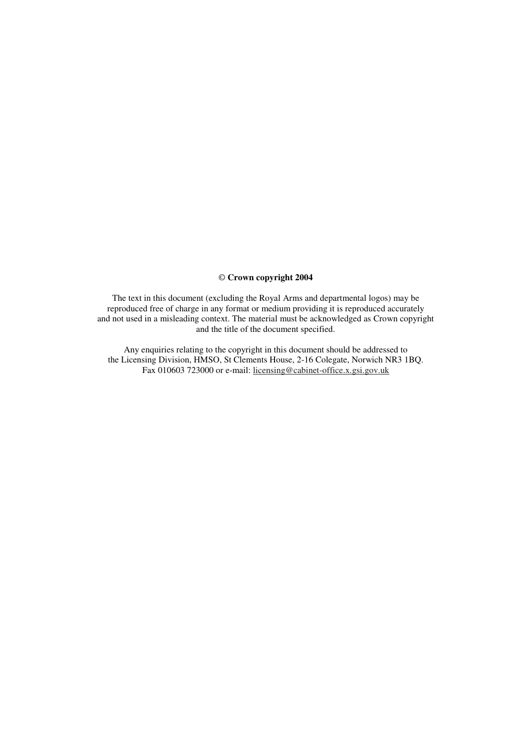### © **Crown copyright 2004**

The text in this document (excluding the Royal Arms and departmental logos) may be reproduced free of charge in any format or medium providing it is reproduced accurately and not used in a misleading context. The material must be acknowledged as Crown copyright and the title of the document specified.

Any enquiries relating to the copyright in this document should be addressed to the Licensing Division, HMSO, St Clements House, 2-16 Colegate, Norwich NR3 1BQ. Fax 010603 723000 or e-mail: licensing@cabinet-office.x.gsi.gov.uk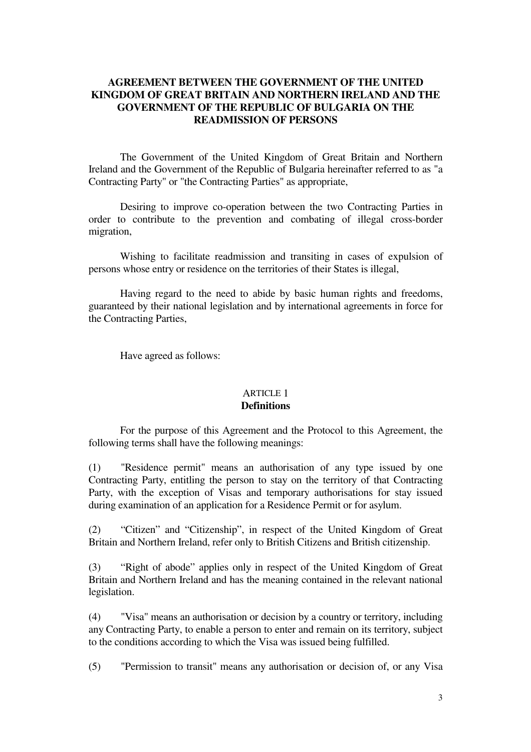### **AGREEMENT BETWEEN THE GOVERNMENT OF THE UNITED KINGDOM OF GREAT BRITAIN AND NORTHERN IRELAND AND THE GOVERNMENT OF THE REPUBLIC OF BULGARIA ON THE READMISSION OF PERSONS**

The Government of the United Kingdom of Great Britain and Northern Ireland and the Government of the Republic of Bulgaria hereinafter referred to as "a Contracting Party" or "the Contracting Parties" as appropriate,

Desiring to improve co-operation between the two Contracting Parties in order to contribute to the prevention and combating of illegal cross-border migration,

Wishing to facilitate readmission and transiting in cases of expulsion of persons whose entry or residence on the territories of their States is illegal,

Having regard to the need to abide by basic human rights and freedoms, guaranteed by their national legislation and by international agreements in force for the Contracting Parties,

Have agreed as follows:

### ARTICLE 1 **Definitions**

For the purpose of this Agreement and the Protocol to this Agreement, the following terms shall have the following meanings:

(1) "Residence permit" means an authorisation of any type issued by one Contracting Party, entitling the person to stay on the territory of that Contracting Party, with the exception of Visas and temporary authorisations for stay issued during examination of an application for a Residence Permit or for asylum.

(2) "Citizen" and "Citizenship", in respect of the United Kingdom of Great Britain and Northern Ireland, refer only to British Citizens and British citizenship.

(3) "Right of abode" applies only in respect of the United Kingdom of Great Britain and Northern Ireland and has the meaning contained in the relevant national legislation.

(4) "Visa" means an authorisation or decision by a country or territory, including any Contracting Party, to enable a person to enter and remain on its territory, subject to the conditions according to which the Visa was issued being fulfilled.

(5) "Permission to transit" means any authorisation or decision of, or any Visa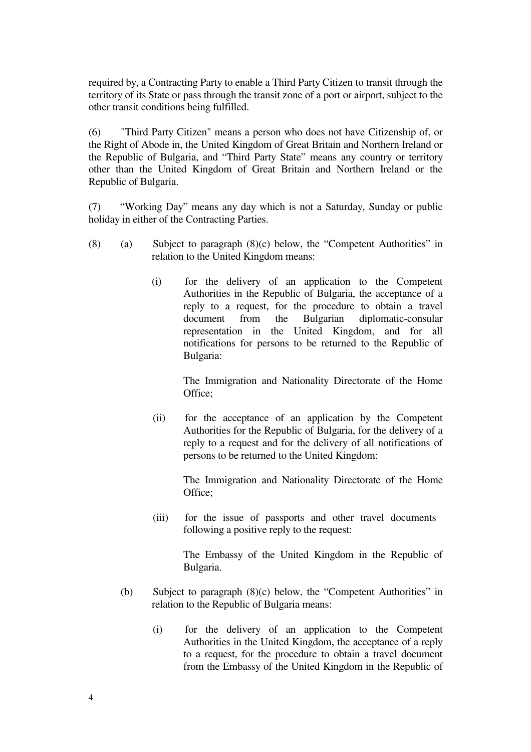required by, a Contracting Party to enable a Third Party Citizen to transit through the territory of its State or pass through the transit zone of a port or airport, subject to the other transit conditions being fulfilled.

(6) "Third Party Citizen" means a person who does not have Citizenship of, or the Right of Abode in, the United Kingdom of Great Britain and Northern Ireland or the Republic of Bulgaria, and "Third Party State" means any country or territory other than the United Kingdom of Great Britain and Northern Ireland or the Republic of Bulgaria.

(7) "Working Day" means any day which is not a Saturday, Sunday or public holiday in either of the Contracting Parties.

- (8) (a) Subject to paragraph (8)(c) below, the "Competent Authorities" in relation to the United Kingdom means:
	- (i) for the delivery of an application to the Competent Authorities in the Republic of Bulgaria, the acceptance of a reply to a request, for the procedure to obtain a travel document from the Bulgarian diplomatic-consular representation in the United Kingdom, and for all notifications for persons to be returned to the Republic of Bulgaria:

The Immigration and Nationality Directorate of the Home Office;

(ii) for the acceptance of an application by the Competent Authorities for the Republic of Bulgaria, for the delivery of a reply to a request and for the delivery of all notifications of persons to be returned to the United Kingdom:

The Immigration and Nationality Directorate of the Home Office;

(iii) for the issue of passports and other travel documents following a positive reply to the request:

> The Embassy of the United Kingdom in the Republic of Bulgaria.

- (b) Subject to paragraph (8)(c) below, the "Competent Authorities" in relation to the Republic of Bulgaria means:
	- (i) for the delivery of an application to the Competent Authorities in the United Kingdom, the acceptance of a reply to a request, for the procedure to obtain a travel document from the Embassy of the United Kingdom in the Republic of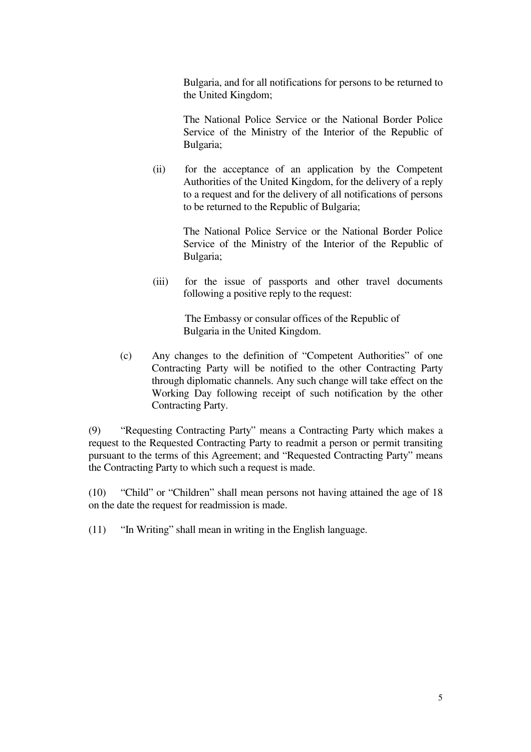Bulgaria, and for all notifications for persons to be returned to the United Kingdom;

The National Police Service or the National Border Police Service of the Ministry of the Interior of the Republic of Bulgaria;

(ii) for the acceptance of an application by the Competent Authorities of the United Kingdom, for the delivery of a reply to a request and for the delivery of all notifications of persons to be returned to the Republic of Bulgaria;

> The National Police Service or the National Border Police Service of the Ministry of the Interior of the Republic of Bulgaria;

(iii) for the issue of passports and other travel documents following a positive reply to the request:

> The Embassy or consular offices of the Republic of Bulgaria in the United Kingdom.

(c) Any changes to the definition of "Competent Authorities" of one Contracting Party will be notified to the other Contracting Party through diplomatic channels. Any such change will take effect on the Working Day following receipt of such notification by the other Contracting Party.

(9)"Requesting Contracting Party" means a Contracting Party which makes a request to the Requested Contracting Party to readmit a person or permit transiting pursuant to the terms of this Agreement; and "Requested Contracting Party" means the Contracting Party to which such a request is made.

(10)"Child" or "Children" shall mean persons not having attained the age of 18 on the date the request for readmission is made.

 $(11)$  "In Writing" shall mean in writing in the English language.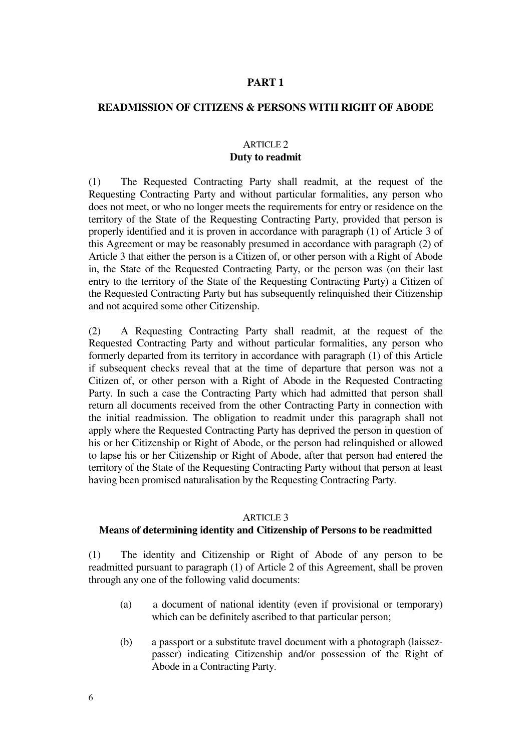### **PART 1**

### **READMISSION OF CITIZENS & PERSONS WITH RIGHT OF ABODE**

### ARTICLE 2 **Duty to readmit**

(1) The Requested Contracting Party shall readmit, at the request of the Requesting Contracting Party and without particular formalities, any person who does not meet, or who no longer meets the requirements for entry or residence on the territory of the State of the Requesting Contracting Party, provided that person is properly identified and it is proven in accordance with paragraph (1) of Article 3 of this Agreement or may be reasonably presumed in accordance with paragraph (2) of Article 3 that either the person is a Citizen of, or other person with a Right of Abode in, the State of the Requested Contracting Party, or the person was (on their last entry to the territory of the State of the Requesting Contracting Party) a Citizen of the Requested Contracting Party but has subsequently relinquished their Citizenship and not acquired some other Citizenship.

(2)A Requesting Contracting Party shall readmit, at the request of the Requested Contracting Party and without particular formalities, any person who formerly departed from its territory in accordance with paragraph (1) of this Article if subsequent checks reveal that at the time of departure that person was not a Citizen of, or other person with a Right of Abode in the Requested Contracting Party. In such a case the Contracting Party which had admitted that person shall return all documents received from the other Contracting Party in connection with the initial readmission. The obligation to readmit under this paragraph shall not apply where the Requested Contracting Party has deprived the person in question of his or her Citizenship or Right of Abode, or the person had relinquished or allowed to lapse his or her Citizenship or Right of Abode, after that person had entered the territory of the State of the Requesting Contracting Party without that person at least having been promised naturalisation by the Requesting Contracting Party.

### ARTICLE 3

### **Means of determining identity and Citizenship of Persons to be readmitted**

(1)The identity and Citizenship or Right of Abode of any person to be readmitted pursuant to paragraph (1) of Article 2 of this Agreement, shall be proven through any one of the following valid documents:

- (a) a document of national identity (even if provisional or temporary) which can be definitely ascribed to that particular person;
- (b) a passport or a substitute travel document with a photograph (laissezpasser) indicating Citizenship and/or possession of the Right of Abode in a Contracting Party.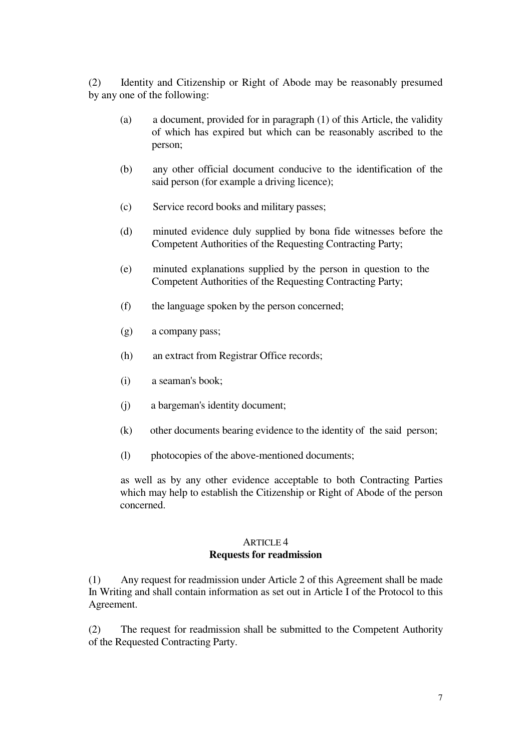(2) Identity and Citizenship or Right of Abode may be reasonably presumed by any one of the following:

- (a) a document, provided for in paragraph (1) of this Article, the validity of which has expired but which can be reasonably ascribed to the person;
- (b) any other official document conducive to the identification of the said person (for example a driving licence);
- (c) Service record books and military passes;
- (d) minuted evidence duly supplied by bona fide witnesses before the Competent Authorities of the Requesting Contracting Party;
- (e) minuted explanations supplied by the person in question to the Competent Authorities of the Requesting Contracting Party;
- $(f)$  the language spoken by the person concerned;
- (g) a company pass;
- (h) an extract from Registrar Office records;
- (i) a seaman's book;
- (j) a bargeman's identity document;
- (k) other documents bearing evidence to the identity of the said person;
- (l) photocopies of the above-mentioned documents;

as well as by any other evidence acceptable to both Contracting Parties which may help to establish the Citizenship or Right of Abode of the person concerned.

### ARTICLE 4 **Requests for readmission**

(1) Any request for readmission under Article 2 of this Agreement shall be made In Writing and shall contain information as set out in Article I of the Protocol to this Agreement.

(2) The request for readmission shall be submitted to the Competent Authority of the Requested Contracting Party.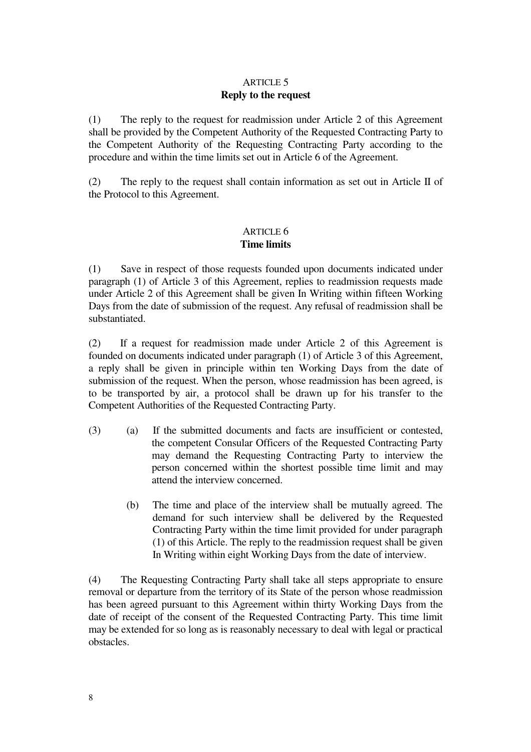### ARTICLE 5 **Reply to the request**

(1) The reply to the request for readmission under Article 2 of this Agreement shall be provided by the Competent Authority of the Requested Contracting Party to the Competent Authority of the Requesting Contracting Party according to the procedure and within the time limits set out in Article 6 of the Agreement.

(2) The reply to the request shall contain information as set out in Article II of the Protocol to this Agreement.

### ARTICLE 6 **Time limits**

(1) Save in respect of those requests founded upon documents indicated under paragraph (1) of Article 3 of this Agreement, replies to readmission requests made under Article 2 of this Agreement shall be given In Writing within fifteen Working Days from the date of submission of the request. Any refusal of readmission shall be substantiated.

(2)If a request for readmission made under Article 2 of this Agreement is founded on documents indicated under paragraph (1) of Article 3 of this Agreement, a reply shall be given in principle within ten Working Days from the date of submission of the request. When the person, whose readmission has been agreed, is to be transported by air, a protocol shall be drawn up for his transfer to the Competent Authorities of the Requested Contracting Party.

- (3) (a) If the submitted documents and facts are insufficient or contested, the competent Consular Officers of the Requested Contracting Party may demand the Requesting Contracting Party to interview the person concerned within the shortest possible time limit and may attend the interview concerned.
	- (b) The time and place of the interview shall be mutually agreed. The demand for such interview shall be delivered by the Requested Contracting Party within the time limit provided for under paragraph (1) of this Article. The reply to the readmission request shall be given In Writing within eight Working Days from the date of interview.

(4) The Requesting Contracting Party shall take all steps appropriate to ensure removal or departure from the territory of its State of the person whose readmission has been agreed pursuant to this Agreement within thirty Working Days from the date of receipt of the consent of the Requested Contracting Party. This time limit may be extended for so long as is reasonably necessary to deal with legal or practical obstacles.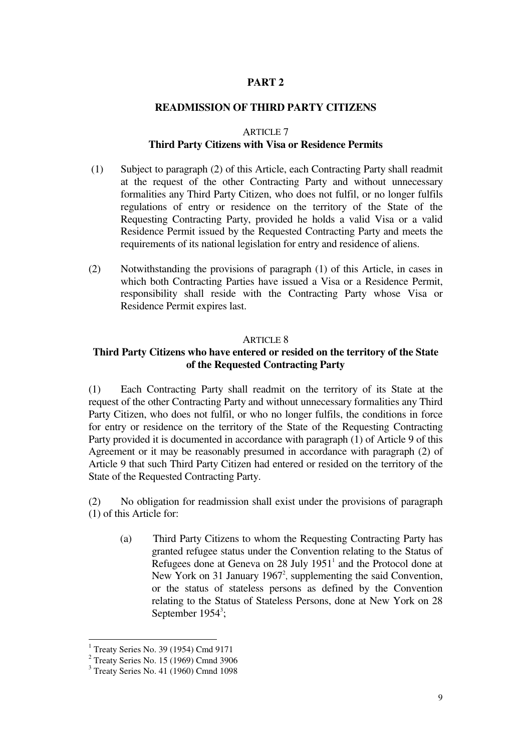### **PART 2**

### **READMISSION OF THIRD PARTY CITIZENS**

### ARTICLE 7

### **Third Party Citizens with Visa or Residence Permits**

- (1) Subject to paragraph (2) of this Article, each Contracting Party shall readmit at the request of the other Contracting Party and without unnecessary formalities any Third Party Citizen, who does not fulfil, or no longer fulfils regulations of entry or residence on the territory of the State of the Requesting Contracting Party, provided he holds a valid Visa or a valid Residence Permit issued by the Requested Contracting Party and meets the requirements of its national legislation for entry and residence of aliens.
- (2) Notwithstanding the provisions of paragraph (1) of this Article, in cases in which both Contracting Parties have issued a Visa or a Residence Permit, responsibility shall reside with the Contracting Party whose Visa or Residence Permit expires last.

### ARTICLE 8

### **Third Party Citizens who have entered or resided on the territory of the State of the Requested Contracting Party**

(1) Each Contracting Party shall readmit on the territory of its State at the request of the other Contracting Party and without unnecessary formalities any Third Party Citizen, who does not fulfil, or who no longer fulfils, the conditions in force for entry or residence on the territory of the State of the Requesting Contracting Party provided it is documented in accordance with paragraph (1) of Article 9 of this Agreement or it may be reasonably presumed in accordance with paragraph (2) of Article 9 that such Third Party Citizen had entered or resided on the territory of the State of the Requested Contracting Party.

(2) No obligation for readmission shall exist under the provisions of paragraph (1) of this Article for:

(a) Third Party Citizens to whom the Requesting Contracting Party has granted refugee status under the Convention relating to the Status of Refugees done at Geneva on  $28$  July  $1951<sup>1</sup>$  and the Protocol done at New York on 31 January 1967<sup>2</sup>, supplementing the said Convention, or the status of stateless persons as defined by the Convention relating to the Status of Stateless Persons, done at New York on 28 September  $1954^3$ ;

<sup>1</sup> Treaty Series No. 39 (1954) Cmd 9171

<sup>&</sup>lt;sup>2</sup> Treaty Series No. 15 (1969) Cmnd 3906

<sup>3</sup> Treaty Series No. 41 (1960) Cmnd 1098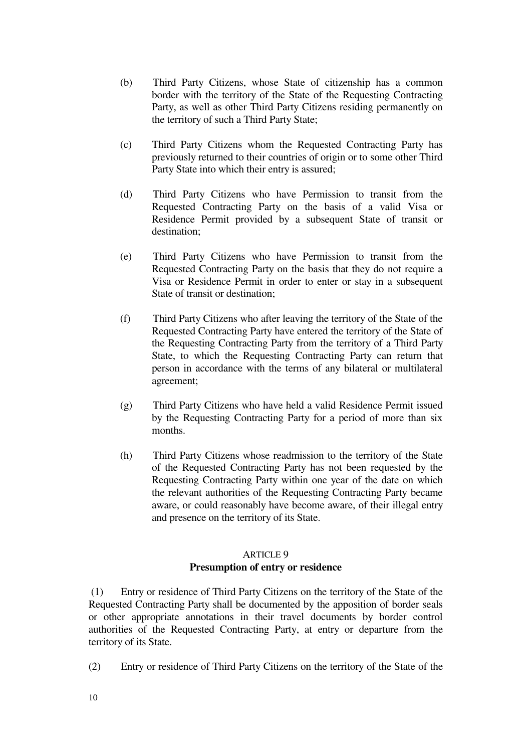- (b) Third Party Citizens, whose State of citizenship has a common border with the territory of the State of the Requesting Contracting Party, as well as other Third Party Citizens residing permanently on the territory of such a Third Party State;
- (c) Third Party Citizens whom the Requested Contracting Party has previously returned to their countries of origin or to some other Third Party State into which their entry is assured;
- (d) Third Party Citizens who have Permission to transit from the Requested Contracting Party on the basis of a valid Visa or Residence Permit provided by a subsequent State of transit or destination;
- (e) Third Party Citizens who have Permission to transit from the Requested Contracting Party on the basis that they do not require a Visa or Residence Permit in order to enter or stay in a subsequent State of transit or destination;
- (f) Third Party Citizens who after leaving the territory of the State of the Requested Contracting Party have entered the territory of the State of the Requesting Contracting Party from the territory of a Third Party State, to which the Requesting Contracting Party can return that person in accordance with the terms of any bilateral or multilateral agreement;
- (g) Third Party Citizens who have held a valid Residence Permit issued by the Requesting Contracting Party for a period of more than six months.
- (h) Third Party Citizens whose readmission to the territory of the State of the Requested Contracting Party has not been requested by the Requesting Contracting Party within one year of the date on which the relevant authorities of the Requesting Contracting Party became aware, or could reasonably have become aware, of their illegal entry and presence on the territory of its State.

## ARTICLE 9

### **Presumption of entry or residence**

 (1) Entry or residence of Third Party Citizens on the territory of the State of the Requested Contracting Party shall be documented by the apposition of border seals or other appropriate annotations in their travel documents by border control authorities of the Requested Contracting Party, at entry or departure from the territory of its State.

(2) Entry or residence of Third Party Citizens on the territory of the State of the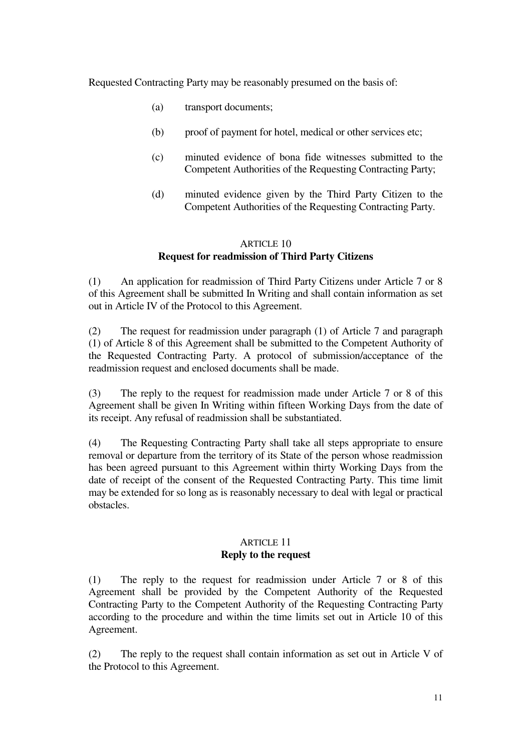Requested Contracting Party may be reasonably presumed on the basis of:

- (a) transport documents;
- (b) proof of payment for hotel, medical or other services etc;
- (c) minuted evidence of bona fide witnesses submitted to the Competent Authorities of the Requesting Contracting Party;
- (d) minuted evidence given by the Third Party Citizen to the Competent Authorities of the Requesting Contracting Party.

### ARTICLE 10 **Request for readmission of Third Party Citizens**

(1) An application for readmission of Third Party Citizens under Article 7 or 8 of this Agreement shall be submitted In Writing and shall contain information as set out in Article IV of the Protocol to this Agreement.

(2) The request for readmission under paragraph (1) of Article 7 and paragraph (1) of Article 8 of this Agreement shall be submitted to the Competent Authority of the Requested Contracting Party. A protocol of submission/acceptance of the readmission request and enclosed documents shall be made.

(3) The reply to the request for readmission made under Article 7 or 8 of this Agreement shall be given In Writing within fifteen Working Days from the date of its receipt. Any refusal of readmission shall be substantiated.

(4) The Requesting Contracting Party shall take all steps appropriate to ensure removal or departure from the territory of its State of the person whose readmission has been agreed pursuant to this Agreement within thirty Working Days from the date of receipt of the consent of the Requested Contracting Party. This time limit may be extended for so long as is reasonably necessary to deal with legal or practical obstacles.

### ARTICLE 11 **Reply to the request**

(1) The reply to the request for readmission under Article 7 or 8 of this Agreement shall be provided by the Competent Authority of the Requested Contracting Party to the Competent Authority of the Requesting Contracting Party according to the procedure and within the time limits set out in Article 10 of this Agreement.

(2) The reply to the request shall contain information as set out in Article V of the Protocol to this Agreement.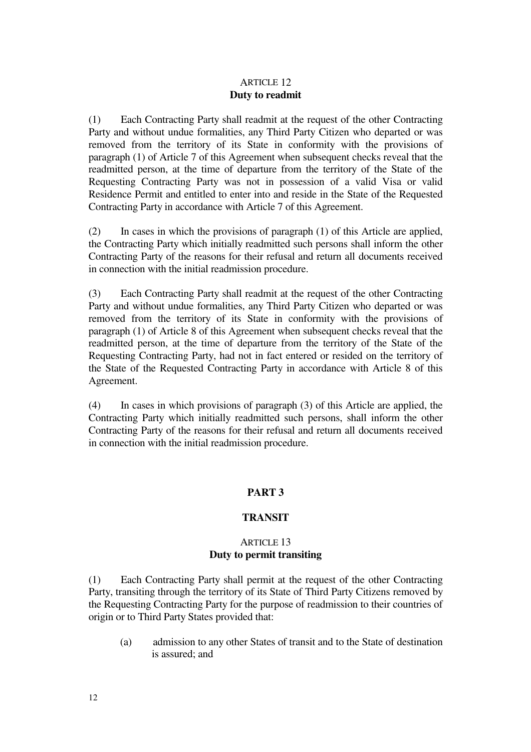### ARTICLE 12 **Duty to readmit**

(1) Each Contracting Party shall readmit at the request of the other Contracting Party and without undue formalities, any Third Party Citizen who departed or was removed from the territory of its State in conformity with the provisions of paragraph (1) of Article 7 of this Agreement when subsequent checks reveal that the readmitted person, at the time of departure from the territory of the State of the Requesting Contracting Party was not in possession of a valid Visa or valid Residence Permit and entitled to enter into and reside in the State of the Requested Contracting Party in accordance with Article 7 of this Agreement.

(2) In cases in which the provisions of paragraph (1) of this Article are applied, the Contracting Party which initially readmitted such persons shall inform the other Contracting Party of the reasons for their refusal and return all documents received in connection with the initial readmission procedure.

(3) Each Contracting Party shall readmit at the request of the other Contracting Party and without undue formalities, any Third Party Citizen who departed or was removed from the territory of its State in conformity with the provisions of paragraph (1) of Article 8 of this Agreement when subsequent checks reveal that the readmitted person, at the time of departure from the territory of the State of the Requesting Contracting Party, had not in fact entered or resided on the territory of the State of the Requested Contracting Party in accordance with Article 8 of this Agreement.

(4) In cases in which provisions of paragraph (3) of this Article are applied, the Contracting Party which initially readmitted such persons, shall inform the other Contracting Party of the reasons for their refusal and return all documents received in connection with the initial readmission procedure.

### **PART 3**

### **TRANSIT**

### ARTICLE 13 **Duty to permit transiting**

(1) Each Contracting Party shall permit at the request of the other Contracting Party, transiting through the territory of its State of Third Party Citizens removed by the Requesting Contracting Party for the purpose of readmission to their countries of origin or to Third Party States provided that:

(a) admission to any other States of transit and to the State of destination is assured; and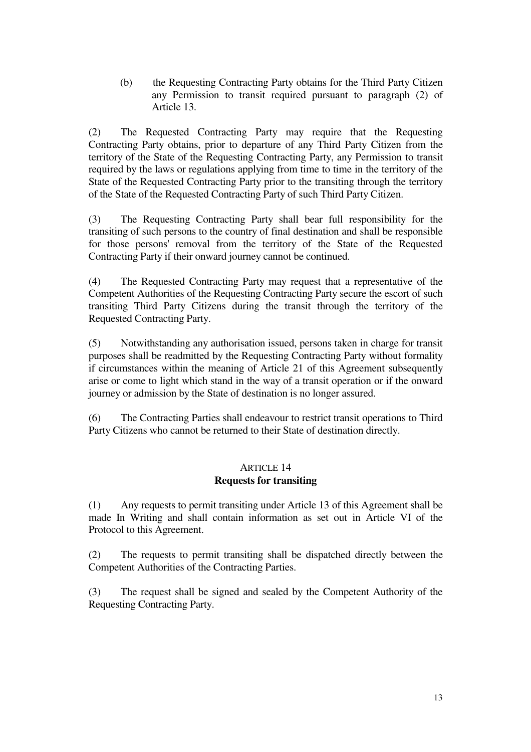(b) the Requesting Contracting Party obtains for the Third Party Citizen any Permission to transit required pursuant to paragraph (2) of Article 13.

(2) The Requested Contracting Party may require that the Requesting Contracting Party obtains, prior to departure of any Third Party Citizen from the territory of the State of the Requesting Contracting Party, any Permission to transit required by the laws or regulations applying from time to time in the territory of the State of the Requested Contracting Party prior to the transiting through the territory of the State of the Requested Contracting Party of such Third Party Citizen.

(3) The Requesting Contracting Party shall bear full responsibility for the transiting of such persons to the country of final destination and shall be responsible for those persons' removal from the territory of the State of the Requested Contracting Party if their onward journey cannot be continued.

(4) The Requested Contracting Party may request that a representative of the Competent Authorities of the Requesting Contracting Party secure the escort of such transiting Third Party Citizens during the transit through the territory of the Requested Contracting Party.

(5) Notwithstanding any authorisation issued, persons taken in charge for transit purposes shall be readmitted by the Requesting Contracting Party without formality if circumstances within the meaning of Article 21 of this Agreement subsequently arise or come to light which stand in the way of a transit operation or if the onward journey or admission by the State of destination is no longer assured.

(6) The Contracting Parties shall endeavour to restrict transit operations to Third Party Citizens who cannot be returned to their State of destination directly.

### ARTICLE 14 **Requests for transiting**

(1) Any requests to permit transiting under Article 13 of this Agreement shall be made In Writing and shall contain information as set out in Article VI of the Protocol to this Agreement.

(2) The requests to permit transiting shall be dispatched directly between the Competent Authorities of the Contracting Parties.

(3) The request shall be signed and sealed by the Competent Authority of the Requesting Contracting Party.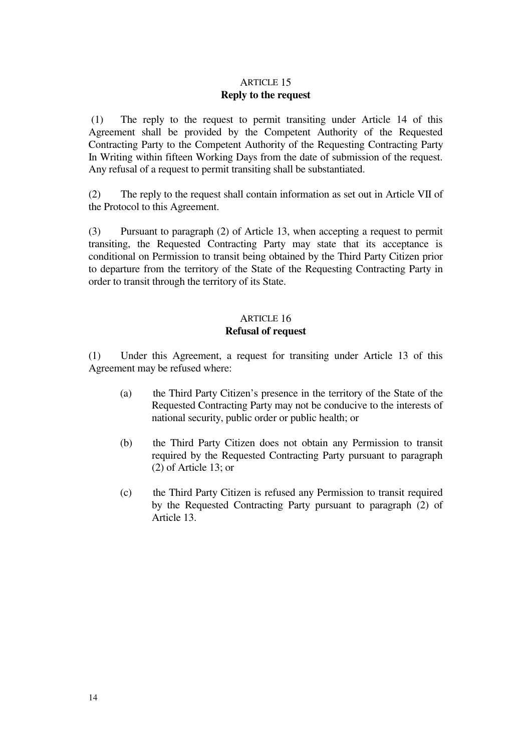### ARTICLE 15 **Reply to the request**

(1) The reply to the request to permit transiting under Article 14 of this Agreement shall be provided by the Competent Authority of the Requested Contracting Party to the Competent Authority of the Requesting Contracting Party In Writing within fifteen Working Days from the date of submission of the request. Any refusal of a request to permit transiting shall be substantiated.

(2) The reply to the request shall contain information as set out in Article VII of the Protocol to this Agreement.

(3) Pursuant to paragraph (2) of Article 13, when accepting a request to permit transiting, the Requested Contracting Party may state that its acceptance is conditional on Permission to transit being obtained by the Third Party Citizen prior to departure from the territory of the State of the Requesting Contracting Party in order to transit through the territory of its State.

## ARTICLE 16

### **Refusal of request**

(1) Under this Agreement, a request for transiting under Article 13 of this Agreement may be refused where:

- (a) the Third Party Citizen's presence in the territory of the State of the Requested Contracting Party may not be conducive to the interests of national security, public order or public health; or
- (b) the Third Party Citizen does not obtain any Permission to transit required by the Requested Contracting Party pursuant to paragraph (2) of Article 13; or
- (c) the Third Party Citizen is refused any Permission to transit required by the Requested Contracting Party pursuant to paragraph (2) of Article 13.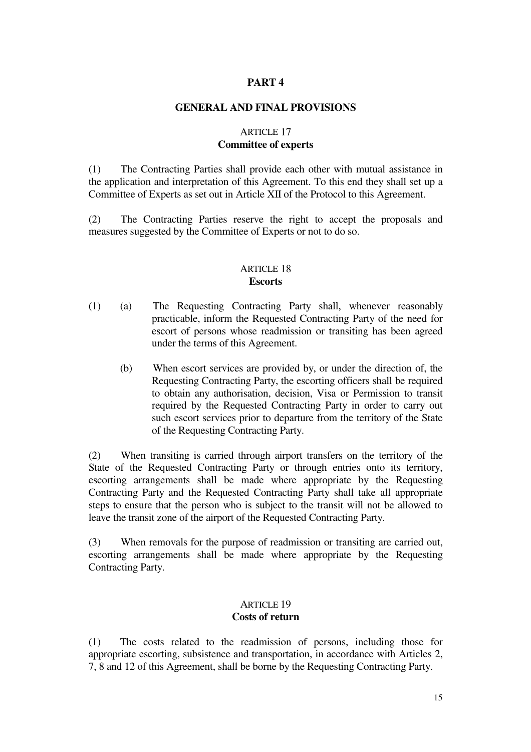### **PART 4**

### **GENERAL AND FINAL PROVISIONS**

### ARTICLE 17 **Committee of experts**

(1) The Contracting Parties shall provide each other with mutual assistance in the application and interpretation of this Agreement. To this end they shall set up a Committee of Experts as set out in Article XII of the Protocol to this Agreement.

(2) The Contracting Parties reserve the right to accept the proposals and measures suggested by the Committee of Experts or not to do so.

### ARTICLE 18 **Escorts**

- (1)(a) The Requesting Contracting Party shall, whenever reasonably practicable, inform the Requested Contracting Party of the need for escort of persons whose readmission or transiting has been agreed under the terms of this Agreement.
	- (b) When escort services are provided by, or under the direction of, the Requesting Contracting Party, the escorting officers shall be required to obtain any authorisation, decision, Visa or Permission to transit required by the Requested Contracting Party in order to carry out such escort services prior to departure from the territory of the State of the Requesting Contracting Party.

(2) When transiting is carried through airport transfers on the territory of the State of the Requested Contracting Party or through entries onto its territory, escorting arrangements shall be made where appropriate by the Requesting Contracting Party and the Requested Contracting Party shall take all appropriate steps to ensure that the person who is subject to the transit will not be allowed to leave the transit zone of the airport of the Requested Contracting Party.

(3) When removals for the purpose of readmission or transiting are carried out, escorting arrangements shall be made where appropriate by the Requesting Contracting Party.

### ARTICLE 19 **Costs of return**

(1) The costs related to the readmission of persons, including those for appropriate escorting, subsistence and transportation, in accordance with Articles 2, 7, 8 and 12 of this Agreement, shall be borne by the Requesting Contracting Party.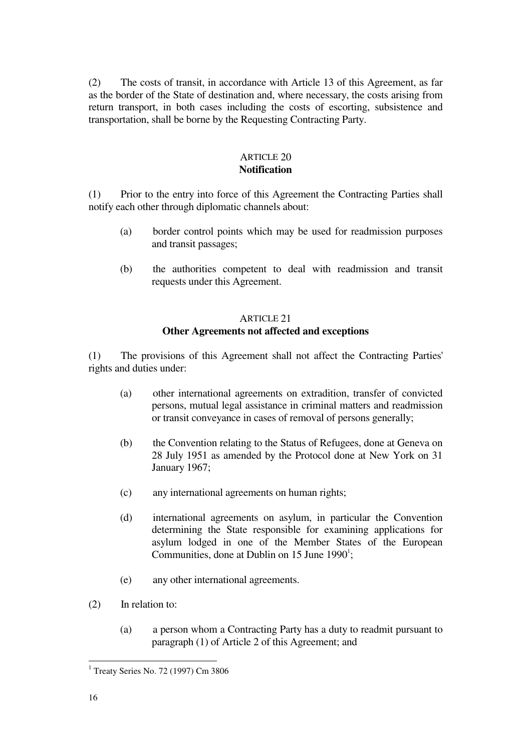(2) The costs of transit, in accordance with Article 13 of this Agreement, as far as the border of the State of destination and, where necessary, the costs arising from return transport, in both cases including the costs of escorting, subsistence and transportation, shall be borne by the Requesting Contracting Party.

### ARTICLE 20 **Notification**

(1) Prior to the entry into force of this Agreement the Contracting Parties shall notify each other through diplomatic channels about:

- (a) border control points which may be used for readmission purposes and transit passages;
- (b) the authorities competent to deal with readmission and transit requests under this Agreement.

### ARTICLE 21

### **Other Agreements not affected and exceptions**

(1) The provisions of this Agreement shall not affect the Contracting Parties' rights and duties under:

- (a) other international agreements on extradition, transfer of convicted persons, mutual legal assistance in criminal matters and readmission or transit conveyance in cases of removal of persons generally;
- (b) the Convention relating to the Status of Refugees, done at Geneva on 28 July 1951 as amended by the Protocol done at New York on 31 January 1967;
- (c) any international agreements on human rights;
- (d) international agreements on asylum, in particular the Convention determining the State responsible for examining applications for asylum lodged in one of the Member States of the European Communities, done at Dublin on  $15$  June  $1990^1$ ;
- (e) any other international agreements.
- (2) In relation to:
	- (a)a person whom a Contracting Party has a duty to readmit pursuant to paragraph (1) of Article 2 of this Agreement; and

<sup>÷.</sup> <sup>1</sup> Treaty Series No. 72 (1997) Cm 3806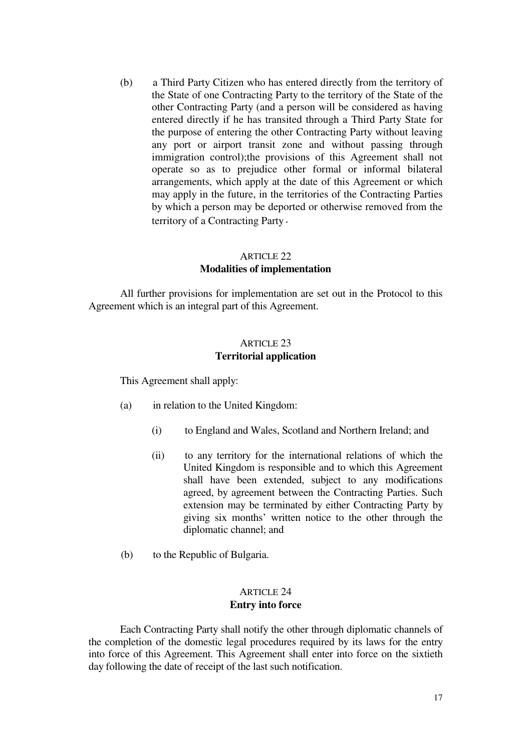(b)a Third Party Citizen who has entered directly from the territory of the State of one Contracting Party to the territory of the State of the other Contracting Party (and a person will be considered as having entered directly if he has transited through a Third Party State for the purpose of entering the other Contracting Party without leaving any port or airport transit zone and without passing through immigration control);the provisions of this Agreement shall not operate so as to prejudice other formal or informal bilateral arrangements, which apply at the date of this Agreement or which may apply in the future, in the territories of the Contracting Parties by which a person may be deported or otherwise removed from the territory of a Contracting Party.

### ARTICLE 22

### **Modalities of implementation**

All further provisions for implementation are set out in the Protocol to this Agreement which is an integral part of this Agreement.

### ARTICLE 23 **Territorial application**

This Agreement shall apply:

- (a) in relation to the United Kingdom:
	- (i) to England and Wales, Scotland and Northern Ireland; and
	- (ii) to any territory for the international relations of which the United Kingdom is responsible and to which this Agreement shall have been extended, subject to any modifications agreed, by agreement between the Contracting Parties. Such extension may be terminated by either Contracting Party by giving six months' written notice to the other through the diplomatic channel; and
- (b) to the Republic of Bulgaria.

### ARTICLE 24 **Entry into force**

Each Contracting Party shall notify the other through diplomatic channels of the completion of the domestic legal procedures required by its laws for the entry into force of this Agreement. This Agreement shall enter into force on the sixtieth day following the date of receipt of the last such notification.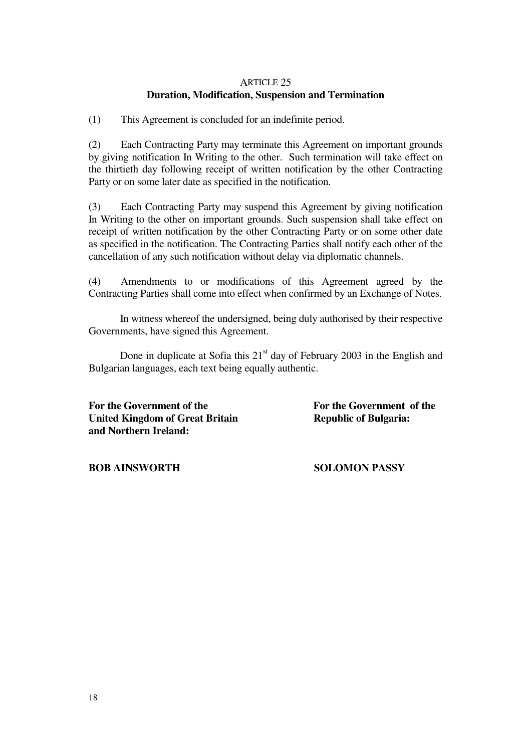### ARTICLE 25 **Duration, Modification, Suspension and Termination**

(1) This Agreement is concluded for an indefinite period.

(2) Each Contracting Party may terminate this Agreement on important grounds by giving notification In Writing to the other. Such termination will take effect on the thirtieth day following receipt of written notification by the other Contracting Party or on some later date as specified in the notification.

(3) Each Contracting Party may suspend this Agreement by giving notification In Writing to the other on important grounds. Such suspension shall take effect on receipt of written notification by the other Contracting Party or on some other date as specified in the notification. The Contracting Parties shall notify each other of the cancellation of any such notification without delay via diplomatic channels.

(4)Amendments to or modifications of this Agreement agreed by the Contracting Parties shall come into effect when confirmed by an Exchange of Notes.

In witness whereof the undersigned, being duly authorised by their respective Governments, have signed this Agreement.

Done in duplicate at Sofia this  $21<sup>st</sup>$  day of February 2003 in the English and Bulgarian languages, each text being equally authentic.

**For the Government of the For the Government of the United Kingdom of Great Britain Republic of Bulgaria: and Northern Ireland:**

**BOB AINSWORTH SOLOMON PASSY**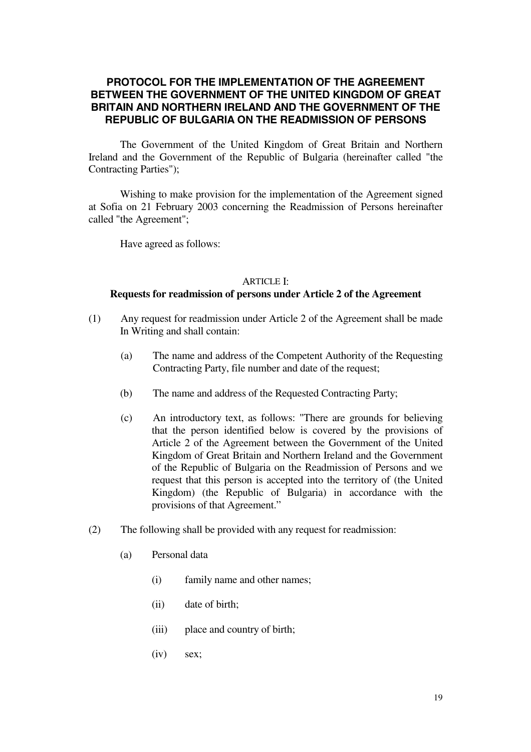### **PROTOCOL FOR THE IMPLEMENTATION OF THE AGREEMENT BETWEEN THE GOVERNMENT OF THE UNITED KINGDOM OF GREAT BRITAIN AND NORTHERN IRELAND AND THE GOVERNMENT OF THE REPUBLIC OF BULGARIA ON THE READMISSION OF PERSONS**

The Government of the United Kingdom of Great Britain and Northern Ireland and the Government of the Republic of Bulgaria (hereinafter called "the Contracting Parties");

Wishing to make provision for the implementation of the Agreement signed at Sofia on 21 February 2003 concerning the Readmission of Persons hereinafter called "the Agreement";

Have agreed as follows:

### **ARTICLE I:**

### **Requests for readmission of persons under Article 2 of the Agreement**

- (1) Any request for readmission under Article 2 of the Agreement shall be made In Writing and shall contain:
	- (a)The name and address of the Competent Authority of the Requesting Contracting Party, file number and date of the request;
	- (b) The name and address of the Requested Contracting Party;
	- (c)An introductory text, as follows: "There are grounds for believing that the person identified below is covered by the provisions of Article 2 of the Agreement between the Government of the United Kingdom of Great Britain and Northern Ireland and the Government of the Republic of Bulgaria on the Readmission of Persons and we request that this person is accepted into the territory of (the United Kingdom) (the Republic of Bulgaria) in accordance with the provisions of that Agreement."
- $(2)$  The following shall be provided with any request for readmission:
	- (a) Personal data
		- (i) family name and other names;
		- (ii) date of birth;
		- (iii) place and country of birth;
		- $(iv)$  sex;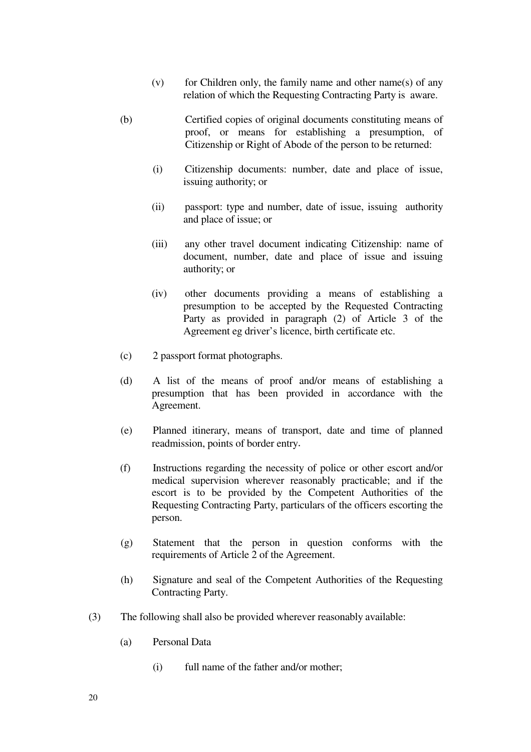- (v) for Children only, the family name and other name(s) of any relation of which the Requesting Contracting Party is aware.
- (b) Certified copies of original documents constituting means of proof, or means for establishing a presumption, of Citizenship or Right of Abode of the person to be returned:
	- (i) Citizenship documents: number, date and place of issue, issuing authority; or
	- (ii) passport: type and number, date of issue, issuing authority and place of issue; or
	- (iii) any other travel document indicating Citizenship: name of document, number, date and place of issue and issuing authority; or
	- (iv) other documents providing a means of establishing a presumption to be accepted by the Requested Contracting Party as provided in paragraph (2) of Article 3 of the Agreement eg driver's licence, birth certificate etc.
- (c) 2 passport format photographs.
- (d)A list of the means of proof and/or means of establishing a presumption that has been provided in accordance with the Agreement.
- (e)Planned itinerary, means of transport, date and time of planned readmission, points of border entry.
- (f)Instructions regarding the necessity of police or other escort and/or medical supervision wherever reasonably practicable; and if the escort is to be provided by the Competent Authorities of the Requesting Contracting Party, particulars of the officers escorting the person.
- $(g)$  Statement that the person in question conforms with the requirements of Article 2 of the Agreement.
- (h) Signature and seal of the Competent Authorities of the Requesting Contracting Party.
- (3) The following shall also be provided wherever reasonably available:
	- (a) Personal Data
		- $(i)$  full name of the father and/or mother;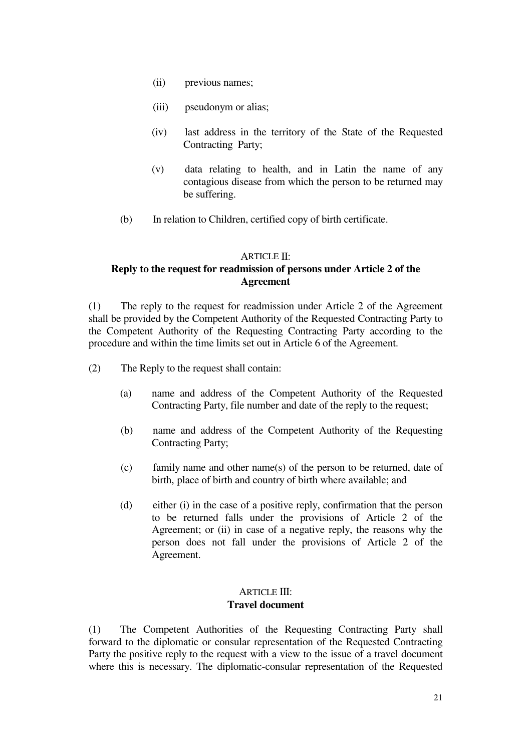- (ii) previous names;
- (iii) pseudonym or alias;
- (iv) last address in the territory of the State of the Requested Contracting Party;
- $(v)$  data relating to health, and in Latin the name of any contagious disease from which the person to be returned may be suffering.
- (b) In relation to Children, certified copy of birth certificate.

### ARTICLE II:

### **Reply to the request for readmission of persons under Article 2 of the Agreement**

(1) The reply to the request for readmission under Article 2 of the Agreement shall be provided by the Competent Authority of the Requested Contracting Party to the Competent Authority of the Requesting Contracting Party according to the procedure and within the time limits set out in Article 6 of the Agreement.

- (2) The Reply to the request shall contain:
	- (a) name and address of the Competent Authority of the Requested Contracting Party, file number and date of the reply to the request;
	- (b) name and address of the Competent Authority of the Requesting Contracting Party;
	- $(c)$  family name and other name(s) of the person to be returned, date of birth, place of birth and country of birth where available; and
	- (d) either (i) in the case of a positive reply, confirmation that the person to be returned falls under the provisions of Article 2 of the Agreement; or (ii) in case of a negative reply, the reasons why the person does not fall under the provisions of Article 2 of the Agreement.

### ARTICLE III: **Travel document**

(1) The Competent Authorities of the Requesting Contracting Party shall forward to the diplomatic or consular representation of the Requested Contracting Party the positive reply to the request with a view to the issue of a travel document where this is necessary. The diplomatic-consular representation of the Requested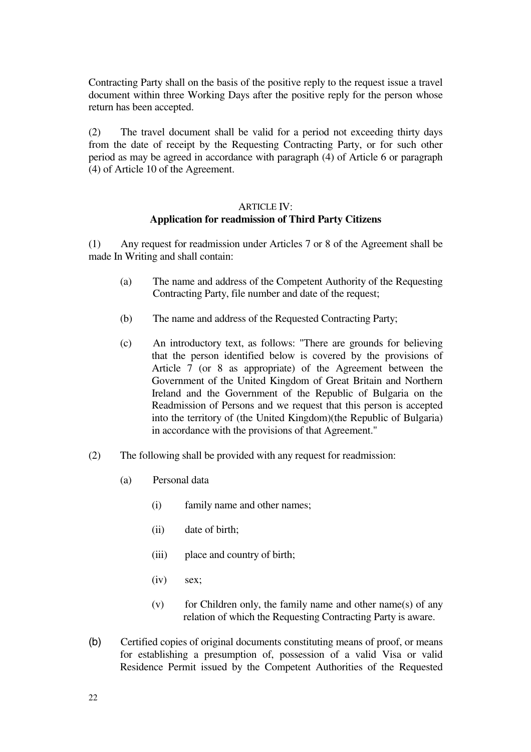Contracting Party shall on the basis of the positive reply to the request issue a travel document within three Working Days after the positive reply for the person whose return has been accepted.

(2) The travel document shall be valid for a period not exceeding thirty days from the date of receipt by the Requesting Contracting Party, or for such other period as may be agreed in accordance with paragraph (4) of Article 6 or paragraph (4) of Article 10 of the Agreement.

### ARTICLE IV: **Application for readmission of Third Party Citizens**

(1) Any request for readmission under Articles 7 or 8 of the Agreement shall be made In Writing and shall contain:

- (a) The name and address of the Competent Authority of the Requesting Contracting Party, file number and date of the request;
- (b) The name and address of the Requested Contracting Party;
- (c) An introductory text, as follows: "There are grounds for believing that the person identified below is covered by the provisions of Article 7 (or 8 as appropriate) of the Agreement between the Government of the United Kingdom of Great Britain and Northern Ireland and the Government of the Republic of Bulgaria on the Readmission of Persons and we request that this person is accepted into the territory of (the United Kingdom)(the Republic of Bulgaria) in accordance with the provisions of that Agreement."
- (2) The following shall be provided with any request for readmission:
	- (a) Personal data
		- (i) family name and other names;
		- $(ii)$  date of birth;
		- (iii) place and country of birth;
		- $(iv)$  sex;
		- (v) for Children only, the family name and other name(s) of any relation of which the Requesting Contracting Party is aware.
- (b) Certified copies of original documents constituting means of proof, or means for establishing a presumption of, possession of a valid Visa or valid Residence Permit issued by the Competent Authorities of the Requested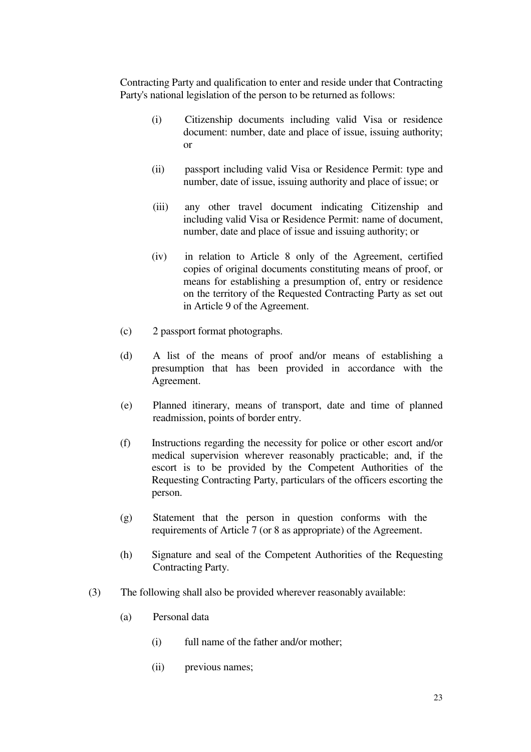Contracting Party and qualification to enter and reside under that Contracting Party's national legislation of the person to be returned as follows:

- (i) Citizenship documents including valid Visa or residence document: number, date and place of issue, issuing authority; or
- (ii) passport including valid Visa or Residence Permit: type and number, date of issue, issuing authority and place of issue; or
- (iii) any other travel document indicating Citizenship and including valid Visa or Residence Permit: name of document, number, date and place of issue and issuing authority; or
- (iv) in relation to Article 8 only of the Agreement, certified copies of original documents constituting means of proof, or means for establishing a presumption of, entry or residence on the territory of the Requested Contracting Party as set out in Article 9 of the Agreement.
- (c) 2 passport format photographs.
- (d) A list of the means of proof and/or means of establishing a presumption that has been provided in accordance with the Agreement.
- (e)Planned itinerary, means of transport, date and time of planned readmission, points of border entry.
- (f)Instructions regarding the necessity for police or other escort and/or medical supervision wherever reasonably practicable; and, if the escort is to be provided by the Competent Authorities of the Requesting Contracting Party, particulars of the officers escorting the person.
- $(g)$  Statement that the person in question conforms with the requirements of Article 7 (or 8 as appropriate) of the Agreement.
- (h) Signature and seal of the Competent Authorities of the Requesting Contracting Party.
- (3) The following shall also be provided wherever reasonably available:
	- (a) Personal data
		- (i) full name of the father and/or mother;
		- (ii) previous names;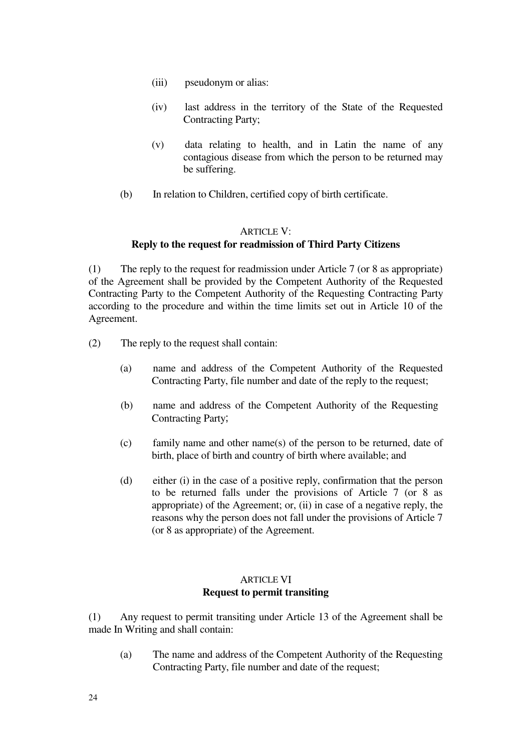- (iii) pseudonym or alias:
- (iv) last address in the territory of the State of the Requested Contracting Party;
- $(v)$  data relating to health, and in Latin the name of any contagious disease from which the person to be returned may be suffering.
- (b) In relation to Children, certified copy of birth certificate.

### **ARTICLE V:**

### **Reply to the request for readmission of Third Party Citizens**

(1) The reply to the request for readmission under Article 7 (or 8 as appropriate) of the Agreement shall be provided by the Competent Authority of the Requested Contracting Party to the Competent Authority of the Requesting Contracting Party according to the procedure and within the time limits set out in Article 10 of the Agreement.

- (2) The reply to the request shall contain:
	- (a) name and address of the Competent Authority of the Requested Contracting Party, file number and date of the reply to the request;
	- (b) name and address of the Competent Authority of the Requesting Contracting Party;
	- $(c)$  family name and other name(s) of the person to be returned, date of birth, place of birth and country of birth where available; and
	- (d) either (i) in the case of a positive reply, confirmation that the person to be returned falls under the provisions of Article 7 (or 8 as appropriate) of the Agreement; or, (ii) in case of a negative reply, the reasons why the person does not fall under the provisions of Article 7 (or 8 as appropriate) of the Agreement.

### ARTICLE VI **Request to permit transiting**

(1) Any request to permit transiting under Article 13 of the Agreement shall be made In Writing and shall contain:

(a) The name and address of the Competent Authority of the Requesting Contracting Party, file number and date of the request;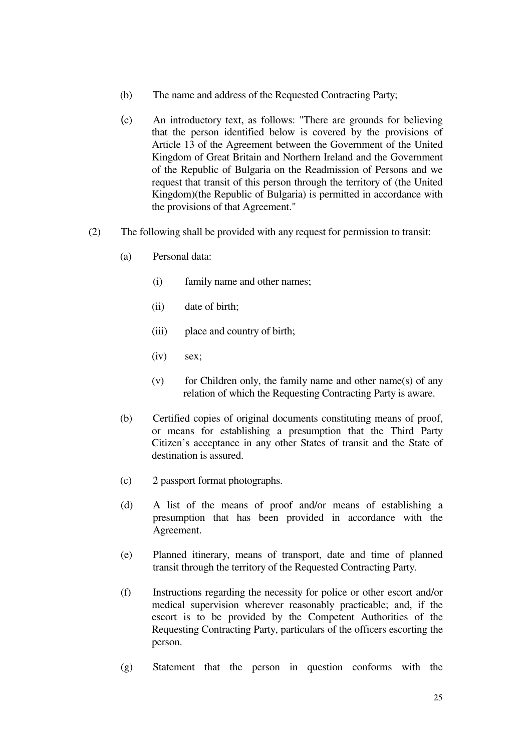- (b) The name and address of the Requested Contracting Party;
- (c) An introductory text, as follows: "There are grounds for believing that the person identified below is covered by the provisions of Article 13 of the Agreement between the Government of the United Kingdom of Great Britain and Northern Ireland and the Government of the Republic of Bulgaria on the Readmission of Persons and we request that transit of this person through the territory of (the United Kingdom)(the Republic of Bulgaria) is permitted in accordance with the provisions of that Agreement."
- (2) The following shall be provided with any request for permission to transit:
	- (a) Personal data:
		- (i) family name and other names;
		- $(iii)$  date of birth;
		- (iii) place and country of birth;
		- $(iv)$  sex;
		- (v) for Children only, the family name and other name(s) of any relation of which the Requesting Contracting Party is aware.
	- (b) Certified copies of original documents constituting means of proof, or means for establishing a presumption that the Third Party Citizen's acceptance in any other States of transit and the State of destination is assured.
	- (c) 2 passport format photographs.
	- (d) A list of the means of proof and/or means of establishing a presumption that has been provided in accordance with the Agreement.
	- (e) Planned itinerary, means of transport, date and time of planned transit through the territory of the Requested Contracting Party.
	- (f) Instructions regarding the necessity for police or other escort and/or medical supervision wherever reasonably practicable; and, if the escort is to be provided by the Competent Authorities of the Requesting Contracting Party, particulars of the officers escorting the person.
	- (g) Statement that the person in question conforms with the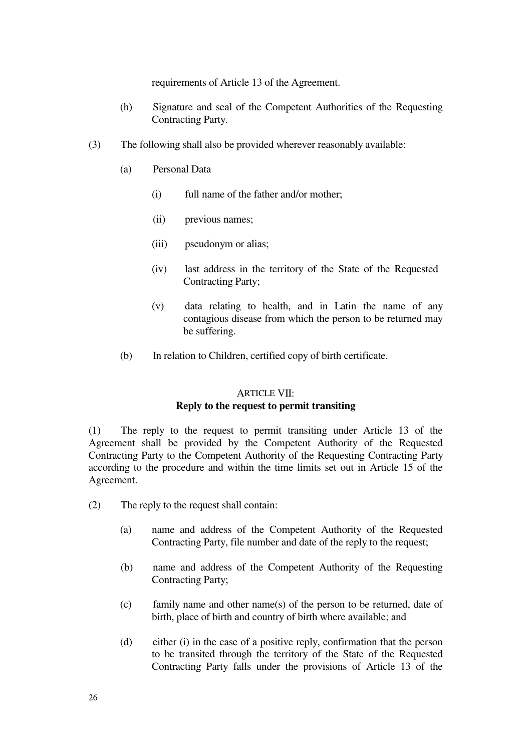requirements of Article 13 of the Agreement.

- (h) Signature and seal of the Competent Authorities of the Requesting Contracting Party.
- (3) The following shall also be provided wherever reasonably available:
	- (a) Personal Data
		- $(i)$  full name of the father and/or mother:
		- (ii) previous names;
		- (iii) pseudonym or alias;
		- (iv) last address in the territory of the State of the Requested Contracting Party;
		- $(v)$  data relating to health, and in Latin the name of any contagious disease from which the person to be returned may be suffering.
	- (b) In relation to Children, certified copy of birth certificate.

## ARTICLE VII:

### **Reply to the request to permit transiting**

(1) The reply to the request to permit transiting under Article 13 of the Agreement shall be provided by the Competent Authority of the Requested Contracting Party to the Competent Authority of the Requesting Contracting Party according to the procedure and within the time limits set out in Article 15 of the Agreement.

- (2) The reply to the request shall contain:
	- (a) name and address of the Competent Authority of the Requested Contracting Party, file number and date of the reply to the request;
	- (b) name and address of the Competent Authority of the Requesting Contracting Party;
	- $(c)$  family name and other name(s) of the person to be returned, date of birth, place of birth and country of birth where available; and
	- (d)either (i) in the case of a positive reply, confirmation that the person to be transited through the territory of the State of the Requested Contracting Party falls under the provisions of Article 13 of the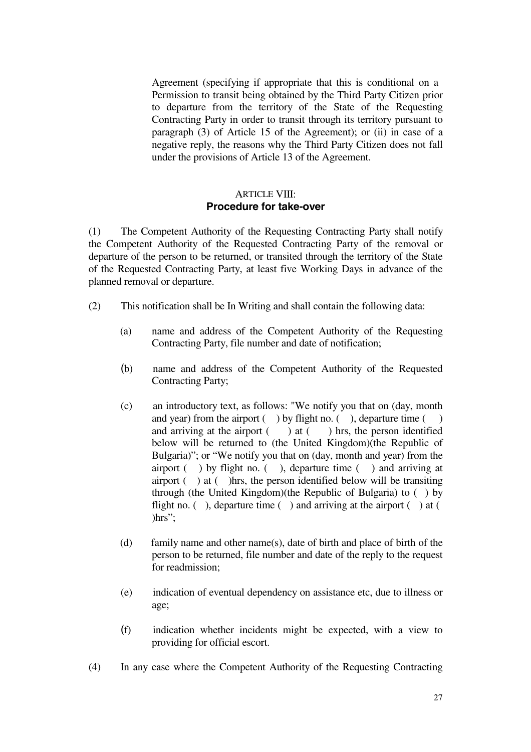Agreement (specifying if appropriate that this is conditional on a Permission to transit being obtained by the Third Party Citizen prior to departure from the territory of the State of the Requesting Contracting Party in order to transit through its territory pursuant to paragraph (3) of Article 15 of the Agreement); or (ii) in case of a negative reply, the reasons why the Third Party Citizen does not fall under the provisions of Article 13 of the Agreement.

### **ARTICLE VIII: Procedure for take-over**

(1) The Competent Authority of the Requesting Contracting Party shall notify the Competent Authority of the Requested Contracting Party of the removal or departure of the person to be returned, or transited through the territory of the State of the Requested Contracting Party, at least five Working Days in advance of the planned removal or departure.

- (2) This notification shall be In Writing and shall contain the following data:
	- (a) name and address of the Competent Authority of the Requesting Contracting Party, file number and date of notification;
	- (b) name and address of the Competent Authority of the Requested Contracting Party;
	- (c)an introductory text, as follows: "We notify you that on (day, month and year) from the airport  $($  ) by flight no.  $($  ), departure time  $($  ) and arriving at the airport  $($ ) at  $($ ) hrs, the person identified below will be returned to (the United Kingdom)(the Republic of Bulgaria)"; or "We notify you that on (day, month and year) from the airport  $($ ) by flight no.  $($ ), departure time  $($ ) and arriving at airport  $($ ) at  $($ ) hrs, the person identified below will be transiting through (the United Kingdom)(the Republic of Bulgaria) to ( ) by flight no. (), departure time  $($ ) and arriving at the airport  $($ ) at  $($ )hrs";
	- (d) family name and other name(s), date of birth and place of birth of the person to be returned, file number and date of the reply to the request for readmission;
	- (e)indication of eventual dependency on assistance etc, due to illness or age;
	- (f) indication whether incidents might be expected, with a view to providing for official escort.
- (4) In any case where the Competent Authority of the Requesting Contracting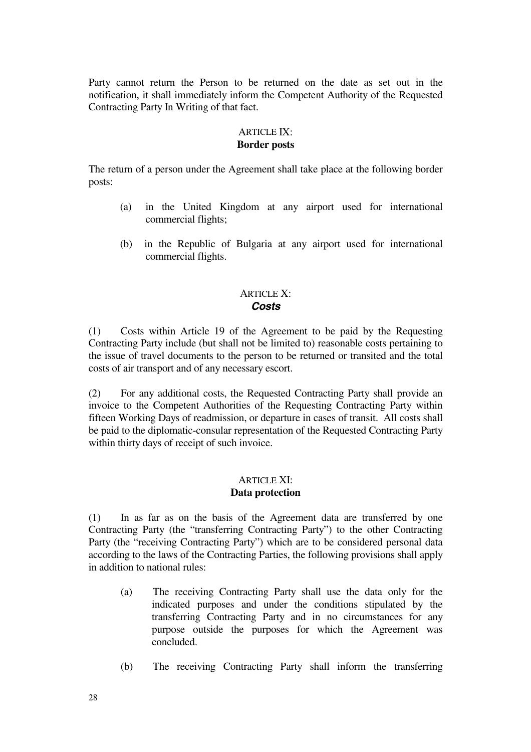Party cannot return the Person to be returned on the date as set out in the notification, it shall immediately inform the Competent Authority of the Requested Contracting Party In Writing of that fact.

### ARTICLE IX: **Border posts**

The return of a person under the Agreement shall take place at the following border posts:

- (a) in the United Kingdom at any airport used for international commercial flights;
- (b) in the Republic of Bulgaria at any airport used for international commercial flights.

### ARTICLE X: **Costs**

 $(1)$  Costs within Article 19 of the Agreement to be paid by the Requesting Contracting Party include (but shall not be limited to) reasonable costs pertaining to the issue of travel documents to the person to be returned or transited and the total costs of air transport and of any necessary escort.

(2) For any additional costs, the Requested Contracting Party shall provide an invoice to the Competent Authorities of the Requesting Contracting Party within fifteen Working Days of readmission, or departure in cases of transit. All costs shall be paid to the diplomatic-consular representation of the Requested Contracting Party within thirty days of receipt of such invoice.

### ARTICLE XI: **Data protection**

 $(1)$  In as far as on the basis of the Agreement data are transferred by one Contracting Party (the "transferring Contracting Party") to the other Contracting Party (the "receiving Contracting Party") which are to be considered personal data according to the laws of the Contracting Parties, the following provisions shall apply in addition to national rules:

- (a) The receiving Contracting Party shall use the data only for the indicated purposes and under the conditions stipulated by the transferring Contracting Party and in no circumstances for any purpose outside the purposes for which the Agreement was concluded.
- (b) The receiving Contracting Party shall inform the transferring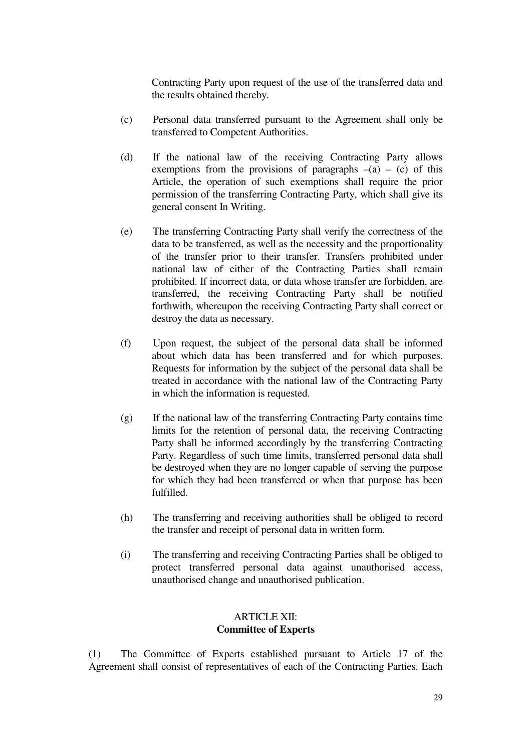Contracting Party upon request of the use of the transferred data and the results obtained thereby.

- (c) Personal data transferred pursuant to the Agreement shall only be transferred to Competent Authorities.
- (d) If the national law of the receiving Contracting Party allows exemptions from the provisions of paragraphs  $-(a) - (c)$  of this Article, the operation of such exemptions shall require the prior permission of the transferring Contracting Party, which shall give its general consent In Writing.
- (e) The transferring Contracting Party shall verify the correctness of the data to be transferred, as well as the necessity and the proportionality of the transfer prior to their transfer. Transfers prohibited under national law of either of the Contracting Parties shall remain prohibited. If incorrect data, or data whose transfer are forbidden, are transferred, the receiving Contracting Party shall be notified forthwith, whereupon the receiving Contracting Party shall correct or destroy the data as necessary.
- (f) Upon request, the subject of the personal data shall be informed about which data has been transferred and for which purposes. Requests for information by the subject of the personal data shall be treated in accordance with the national law of the Contracting Party in which the information is requested.
- $(g)$  If the national law of the transferring Contracting Party contains time limits for the retention of personal data, the receiving Contracting Party shall be informed accordingly by the transferring Contracting Party. Regardless of such time limits, transferred personal data shall be destroyed when they are no longer capable of serving the purpose for which they had been transferred or when that purpose has been fulfilled.
- (h) The transferring and receiving authorities shall be obliged to record the transfer and receipt of personal data in written form.
- (i) The transferring and receiving Contracting Parties shall be obliged to protect transferred personal data against unauthorised access, unauthorised change and unauthorised publication.

### ARTICLE XII: **Committee of Experts**

(1) The Committee of Experts established pursuant to Article 17 of the Agreement shall consist of representatives of each of the Contracting Parties. Each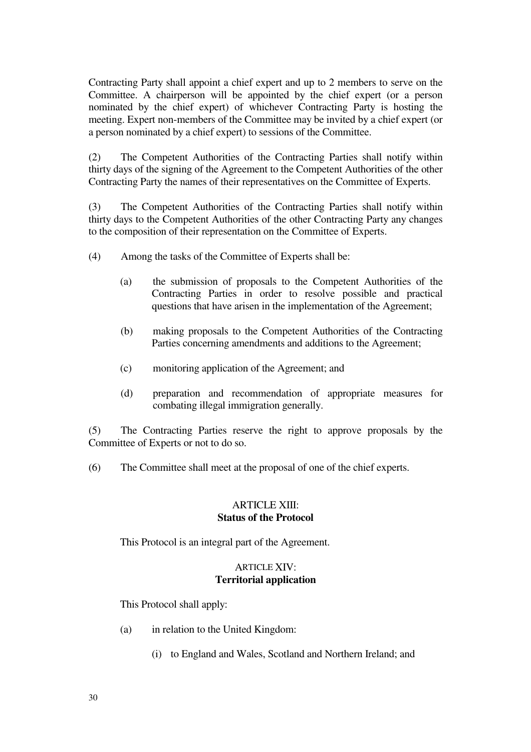Contracting Party shall appoint a chief expert and up to 2 members to serve on the Committee. A chairperson will be appointed by the chief expert (or a person nominated by the chief expert) of whichever Contracting Party is hosting the meeting. Expert non-members of the Committee may be invited by a chief expert (or a person nominated by a chief expert) to sessions of the Committee.

(2) The Competent Authorities of the Contracting Parties shall notify within thirty days of the signing of the Agreement to the Competent Authorities of the other Contracting Party the names of their representatives on the Committee of Experts.

(3) The Competent Authorities of the Contracting Parties shall notify within thirty days to the Competent Authorities of the other Contracting Party any changes to the composition of their representation on the Committee of Experts.

- (4) Among the tasks of the Committee of Experts shall be:
	- (a) the submission of proposals to the Competent Authorities of the Contracting Parties in order to resolve possible and practical questions that have arisen in the implementation of the Agreement;
	- (b) making proposals to the Competent Authorities of the Contracting Parties concerning amendments and additions to the Agreement;
	- (c)monitoring application of the Agreement; and
	- (d) preparation and recommendation of appropriate measures for combating illegal immigration generally.

(5) The Contracting Parties reserve the right to approve proposals by the Committee of Experts or not to do so.

(6)The Committee shall meet at the proposal of one of the chief experts.

### **ARTICLE XIII**<sup>.</sup> **Status of the Protocol**

This Protocol is an integral part of the Agreement.

### **ARTICLE XIV: Territorial application**

This Protocol shall apply:

- (a) in relation to the United Kingdom:
	- (i) to England and Wales, Scotland and Northern Ireland; and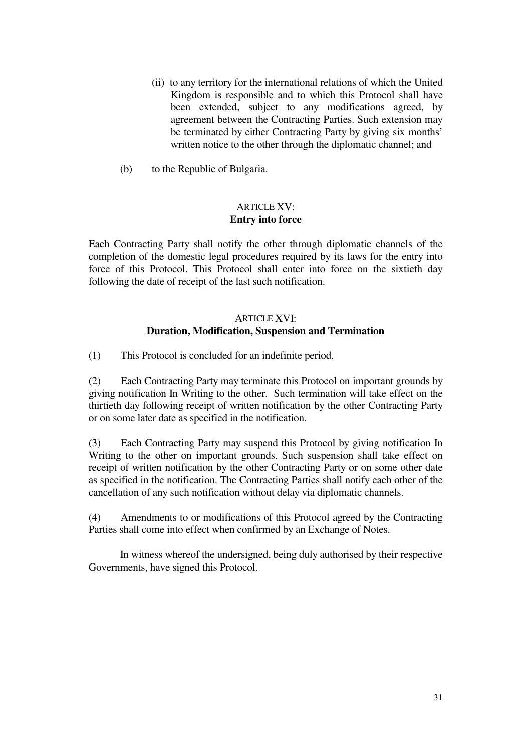- (ii) to any territory for the international relations of which the United Kingdom is responsible and to which this Protocol shall have been extended, subject to any modifications agreed, by agreement between the Contracting Parties. Such extension may be terminated by either Contracting Party by giving six months' written notice to the other through the diplomatic channel; and
- $(b)$  to the Republic of Bulgaria.

### ARTICLE XV: **Entry into force**

Each Contracting Party shall notify the other through diplomatic channels of the completion of the domestic legal procedures required by its laws for the entry into force of this Protocol. This Protocol shall enter into force on the sixtieth day following the date of receipt of the last such notification.

### ARTICLE XVI: **Duration, Modification, Suspension and Termination**

(1) This Protocol is concluded for an indefinite period.

(2) Each Contracting Party may terminate this Protocol on important grounds by giving notification In Writing to the other. Such termination will take effect on the thirtieth day following receipt of written notification by the other Contracting Party or on some later date as specified in the notification.

(3) Each Contracting Party may suspend this Protocol by giving notification In Writing to the other on important grounds. Such suspension shall take effect on receipt of written notification by the other Contracting Party or on some other date as specified in the notification. The Contracting Parties shall notify each other of the cancellation of any such notification without delay via diplomatic channels.

(4)Amendments to or modifications of this Protocol agreed by the Contracting Parties shall come into effect when confirmed by an Exchange of Notes.

In witness whereof the undersigned, being duly authorised by their respective Governments, have signed this Protocol.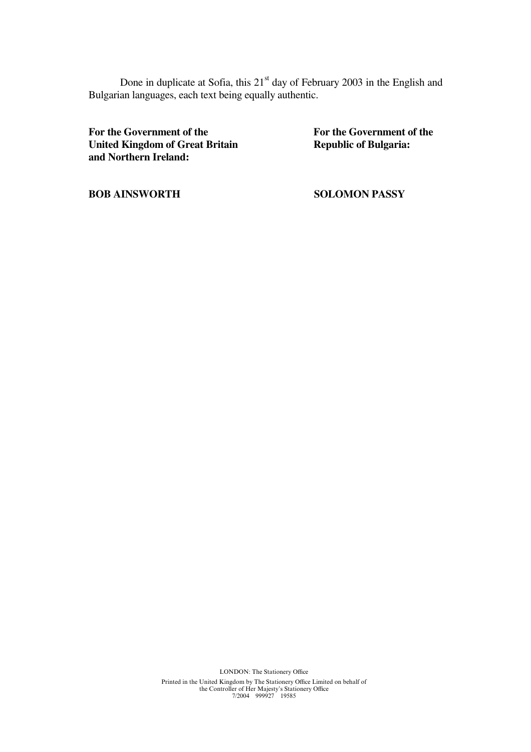Done in duplicate at Sofia, this 21<sup>st</sup> day of February 2003 in the English and Bulgarian languages, each text being equally authentic.

For the Government of the **For the Government of the For the Government of the United Kingdom of Great Britain United Kingdom of Great Britain and Northern Ireland:**

**BOB AINSWORTH SOLOMON PASSY** 

LONDON: The Stationery Office Printed in the United Kingdom by The Stationery Office Limited on behalf of the Controller of Her Majesty's Stationery Office<br>  $7/2004$  999927 19585